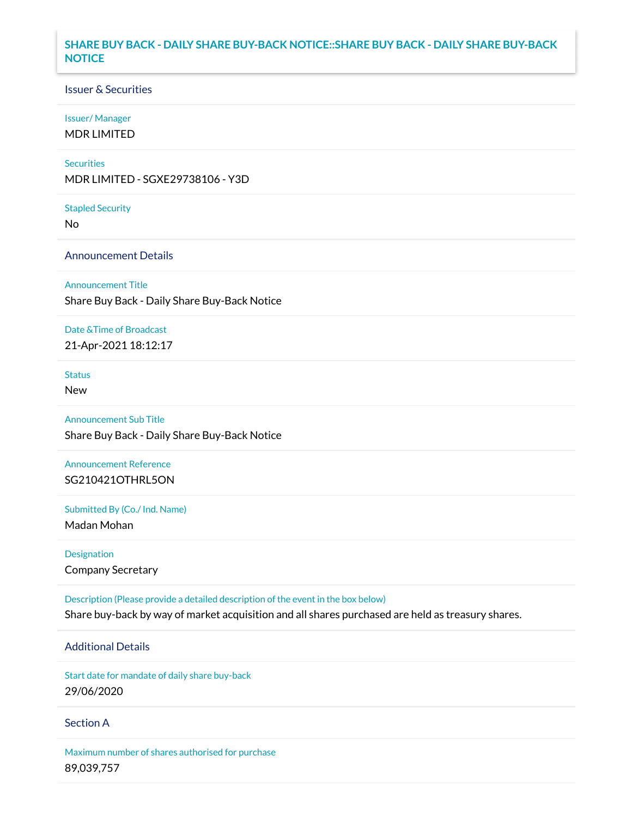## **SHARE BUY BACK - DAILY SHARE BUY-BACK NOTICE::SHARE BUY BACK - DAILY SHARE BUY-BACK NOTICE**

#### Issuer & Securities

#### Issuer/ Manager

MDR LIMITED

#### **Securities**

MDR LIMITED - SGXE29738106 - Y3D

Stapled Security

No

### Announcement Details

Announcement Title

Share Buy Back - Daily Share Buy-Back Notice

## Date &Time of Broadcast

21-Apr-2021 18:12:17

# **Status**

New

# Announcement Sub Title Share Buy Back - Daily Share Buy-Back Notice

Announcement Reference

SG210421OTHRL5ON

Submitted By (Co./ Ind. Name)

Madan Mohan

Designation Company Secretary

Description (Please provide a detailed description of the event in the box below) Share buy-back by way of market acquisition and all shares purchased are held as treasury shares.

# Additional Details

Start date for mandate of daily share buy-back 29/06/2020

#### Section A

Maximum number of shares authorised for purchase 89,039,757